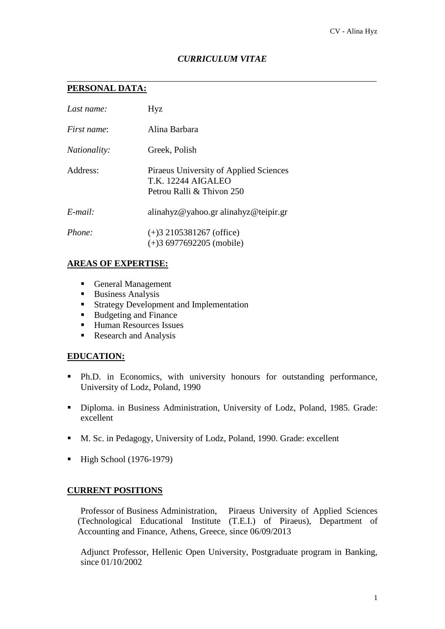## *CURRICULUM VITAE*

\_\_\_\_\_\_\_\_\_\_\_\_\_\_\_\_\_\_\_\_\_\_\_\_\_\_\_\_\_\_\_\_\_\_\_\_\_\_\_\_\_\_\_\_\_\_\_\_\_\_\_\_\_\_\_\_\_\_\_\_\_\_\_\_\_\_\_\_\_

# **PERSONAL DATA:**

| Last name:          | Hyz                                                                                       |
|---------------------|-------------------------------------------------------------------------------------------|
| First name:         | Alina Barbara                                                                             |
| <i>Nationality:</i> | Greek, Polish                                                                             |
| Address:            | Piraeus University of Applied Sciences<br>$TK$ 12244 AIGALEO<br>Petrou Ralli & Thivon 250 |
| $E$ -mail:          | alinahyz@yahoo.gr alinahyz@teipir.gr                                                      |
| Phone:              | $(+)3$ 2105381267 (office)<br>$(+)36977692205$ (mobile)                                   |

### **AREAS OF EXPERTISE:**

- General Management
- **Business Analysis**
- **Strategy Development and Implementation**
- Budgeting and Finance
- Human Resources Issues
- Research and Analysis

## **EDUCATION:**

- Ph.D. in Economics, with university honours for outstanding performance, University of Lodz, Poland, 1990
- Diploma. in Business Administration, University of Lodz, Poland, 1985. Grade: excellent
- M. Sc. in Pedagogy, University of Lodz, Poland, 1990. Grade: excellent
- $\blacksquare$  High School (1976-1979)

## **CURRENT POSITIONS**

Professor of Business Administration, Piraeus University of Applied Sciences (Technological Educational Institute (T.E.I.) of Piraeus), Department of Accounting and Finance, Athens, Greece, since 06/09/2013

Adjunct Professor, Hellenic Open University, Postgraduate program in Banking, since 01/10/2002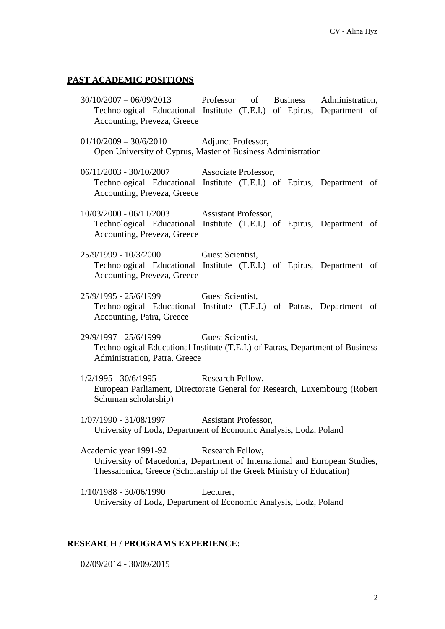#### **PAST ACADEMIC POSITIONS**

- 30/10/2007 06/09/2013 Professor of Business Administration, Technological Educational Institute (T.E.I.) of Epirus, Department of Accounting, Preveza, Greece
- 01/10/2009 30/6/2010 Adjunct Professor, Open University of Cyprus, Master of Business Administration
- 06/11/2003 30/10/2007 Associate Professor, Technological Educational Institute (T.E.I.) of Epirus, Department of Accounting, Preveza, Greece
- 10/03/2000 06/11/2003 Assistant Professor, Technological Educational Institute (T.E.I.) of Epirus, Department of Accounting, Preveza, Greece
- 25/9/1999 10/3/2000 Guest Scientist, Technological Educational Institute (T.E.I.) of Epirus, Department of Accounting, Preveza, Greece
- 25/9/1995 25/6/1999 Guest Scientist, Technological Educational Institute (T.E.I.) of Patras, Department of Accounting, Patra, Greece
- 29/9/1997 25/6/1999 Guest Scientist, Technological Educational Institute (T.E.I.) of Patras, Department of Business Administration, Patra, Greece
- 1/2/1995 30/6/1995 Research Fellow, European Parliament, Directorate General for Research, Luxembourg (Robert Schuman scholarship)
- 1/07/1990 31/08/1997 Assistant Professor, University of Lodz, Department of Economic Analysis, Lodz, Poland
- Academic year 1991-92 Research Fellow, University of Macedonia, Department of International and European Studies, Thessalonica, Greece (Scholarship of the Greek Ministry of Education)
- 1/10/1988 30/06/1990 Lecturer, University of Lodz, Department of Economic Analysis, Lodz, Poland

#### **RESEARCH / PROGRAMS EXPERIENCE:**

02/09/2014 - 30/09/2015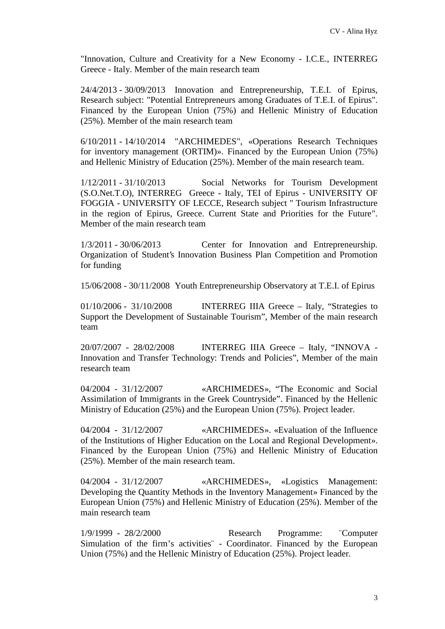"Innovation, Culture and Creativity for a New Economy - I.C.E., INTERREG Greece - Italy. Member of the main research team

24/4/2013 - 30/09/2013 Innovation and Entrepreneurship, T.E.I. of Epirus, Research subject: "Potential Entrepreneurs among Graduates of T.E.I. of Epirus". Financed by the European Union (75%) and Hellenic Ministry of Education (25%). Member of the main research team

6/10/2011 - 14/10/2014 "ARCHIMEDES", «Operations Research Techniques for inventory management (ORTIM)». Financed by the European Union (75%) and Hellenic Ministry of Education (25%). Member of the main research team.

1/12/2011 - 31/10/2013 Social Networks for Tourism Development (S.O.Net.T.O), INTERREG Greece - Italy, TEI of Epirus - UNIVERSITY OF FOGGIA - UNIVERSITY OF LECCE, Research subject " Tourism Infrastructure in the region of Epirus, Greece. Current State and Priorities for the Future". Member of the main research team

1/3/2011 - 30/06/2013 Center for Innovation and Entrepreneurship. Organization of Student's Innovation Business Plan Competition and Promotion for funding

15/06/2008 - 30/11/2008 Youth Entrepreneurship Observatory at T.E.I. of Epirus

01/10/2006 - 31/10/2008 INTERREG IIIA Greece – Italy, "Strategies to Support the Development of Sustainable Tourism", Member of the main research team

20/07/2007 - 28/02/2008 INTERREG IIIA Greece – Italy, "INNOVA - Innovation and Transfer Technology: Trends and Policies", Member of the main research team

04/2004 - 31/12/2007 «ARCHIMEDES», "The Economic and Social Assimilation of Immigrants in the Greek Countryside". Financed by the Hellenic Ministry of Education (25%) and the European Union (75%). Project leader.

04/2004 - 31/12/2007 «ARCHIMEDES». «Evaluation of the Influence of the Institutions of Higher Education on the Local and Regional Development». Financed by the European Union (75%) and Hellenic Ministry of Education (25%). Member of the main research team.

04/2004 - 31/12/2007 «ARCHIMEDES», «Logistics Management: Developing the Quantity Methods in the Inventory Management» Financed by the European Union (75%) and Hellenic Ministry of Education (25%). Member of the main research team

1/9/1999 - 28/2/2000 Research Programme: ¨Computer Simulation of the firm's activities¨ - Coordinator. Financed by the European Union (75%) and the Hellenic Ministry of Education (25%). Project leader.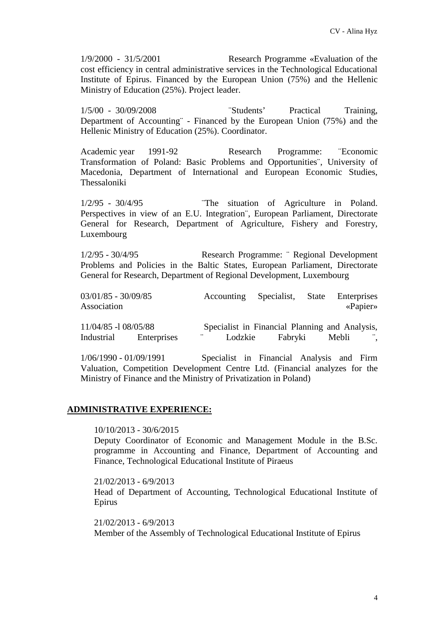1/9/2000 - 31/5/2001 Research Programme «Evaluation of the cost efficiency in central administrative services in the Technological Educational Institute of Epirus. Financed by the European Union (75%) and the Hellenic Ministry of Education (25%). Project leader.

1/5/00 - 30/09/2008 ¨Students' Practical Training, Department of Accounting¨ - Financed by the European Union (75%) and the Hellenic Ministry of Education (25%). Coordinator.

Academic year 1991-92 Research Programme: ¨Economic Transformation of Poland: Basic Problems and Opportunities¨, University of Macedonia, Department of International and European Economic Studies, Thessaloniki

1/2/95 - 30/4/95 ¨The situation of Agriculture in Poland. Perspectives in view of an E.U. Integration¨, European Parliament, Directorate General for Research, Department of Agriculture, Fishery and Forestry, Luxembourg

1/2/95 - 30/4/95 Research Programme: ¨ Regional Development Problems and Policies in the Baltic States, European Parliament, Directorate General for Research, Department of Regional Development, Luxembourg

| $03/01/85 - 30/09/85$<br>Association |             | Accounting Specialist, State                                           |         | Enterprises<br>$\langle$ Papier» |         |
|--------------------------------------|-------------|------------------------------------------------------------------------|---------|----------------------------------|---------|
| 11/04/85 -1 08/05/88<br>Industrial   | Enterprises | Specialist in Financial Planning and Analysis,<br>$\ddotsc$<br>Lodzkie | Fabryki | Mebli                            | $\cdot$ |

1/06/1990 - 01/09/1991 Specialist in Financial Analysis and Firm Valuation, Competition Development Centre Ltd. (Financial analyzes for the Ministry of Finance and the Ministry of Privatization in Poland)

### **ADMINISTRATIVE EXPERIENCE:**

10/10/2013 - 30/6/2015

Deputy Coordinator of Economic and Management Module in the B.Sc. programme in Accounting and Finance, Department of Accounting and Finance, Technological Educational Institute of Piraeus

21/02/2013 - 6/9/2013 Head of Department of Accounting, Technological Educational Institute of Epirus

21/02/2013 - 6/9/2013 Member of the Assembly of Technological Educational Institute of Epirus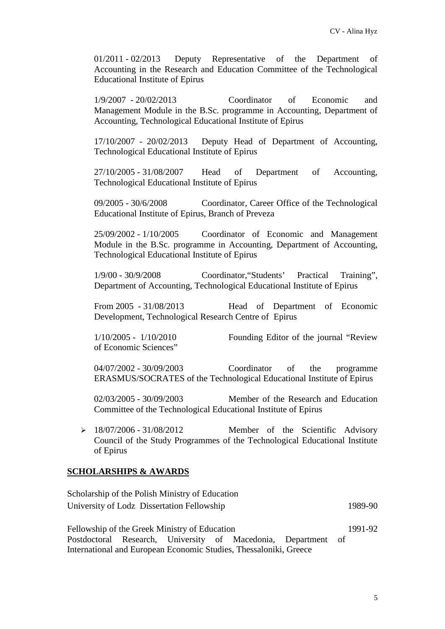01/2011 - 02/2013 Deputy Representative of the Department of Accounting in the Research and Education Committee of the Technological Educational Institute of Epirus

1/9/2007 - 20/02/2013 Coordinator of Economic and Management Module in the B.Sc. programme in Accounting, Department of Accounting, Technological Educational Institute of Epirus

17/10/2007 - 20/02/2013 Deputy Head of Department of Accounting, Technological Educational Institute of Epirus

27/10/2005 - 31/08/2007 Head of Department of Accounting, Technological Educational Institute of Epirus

09/2005 - 30/6/2008 Coordinator, Career Office of the Technological Educational Institute of Epirus, Branch of Preveza

25/09/2002 - 1/10/2005 Coordinator of Economic and Management Module in the B.Sc. programme in Accounting, Department of Accounting, Technological Educational Institute of Epirus

1/9/00 - 30/9/2008 Coordinator,"Students' Practical Training", Department of Accounting, Technological Educational Institute of Epirus

From 2005 - 31/08/2013 Head of Department of Economic Development, Technological Research Centre of Epirus

1/10/2005 - 1/10/2010 Founding Editor of the journal "Review of Economic Sciences"

04/07/2002 - 30/09/2003 Coordinator of the programme ERASMUS/SOCRATES of the Technological Educational Institute of Epirus

02/03/2005 - 30/09/2003 Member of the Research and Education Committee of the Technological Educational Institute of Epirus

 $\geq 18/07/2006 - 31/08/2012$  Member of the Scientific Advisory Council of the Study Programmes of the Technological Educational Institute of Epirus

### **SCHOLARSHIPS & AWARDS**

| Scholarship of the Polish Ministry of Education |         |
|-------------------------------------------------|---------|
| University of Lodz Dissertation Fellowship      | 1989-90 |

Fellowship of the Greek Ministry of Education Postdoctoral Research, University of Macedonia, Department of International and European Economic Studies, Thessaloniki, Greece 1991-92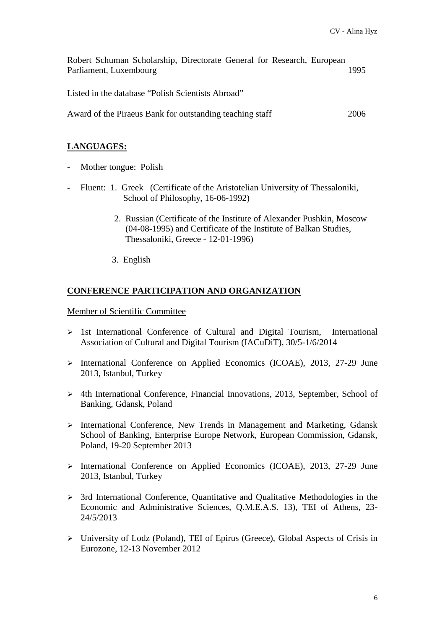| Robert Schuman Scholarship, Directorate General for Research, European |      |
|------------------------------------------------------------------------|------|
| Parliament, Luxembourg                                                 | 1995 |
|                                                                        |      |
| Listed in the database "Polish Scientists Abroad"                      |      |
|                                                                        |      |
| Award of the Piraeus Bank for outstanding teaching staff               | 2006 |

### **LANGUAGES:**

- Mother tongue: Polish
- Fluent: 1. Greek (Certificate of the Aristotelian University of Thessaloniki, School of Philosophy, 16-06-1992)
	- 2. Russian (Certificate of the Institute of Alexander Pushkin, Moscow (04-08-1995) and Certificate of the Institute of Balkan Studies, Thessaloniki, Greece - 12-01-1996)
	- 3. English

### **CONFERENCE PARTICIPATION AND ORGANIZATION**

Member of Scientific Committee

- $\geq$  1st International Conference of Cultural and Digital Tourism, International Association of Cultural and Digital Tourism (IACuDiT), 30/5-1/6/2014
- International Conference on Applied Economics (ICOAE), 2013, 27-29 June 2013, Istanbul, Turkey
- 4th International Conference, Financial Innovations, 2013, September, School of Banking, Gdansk, Poland
- International Conference, New Trends in Management and Marketing, Gdansk School of Banking, Enterprise Europe Network, European Commission, Gdansk, Poland, 19-20 September 2013
- International Conference on Applied Economics (ICOAE), 2013, 27-29 June 2013, Istanbul, Turkey
- 3rd International Conference, Quantitative and Qualitative Methodologies in the Economic and Administrative Sciences, Q.M.E.A.S. 13), TEI of Athens, 23- 24/5/2013
- University of Lodz (Poland), TEI of Epirus (Greece), Global Aspects of Crisis in Eurozone, 12-13 November 2012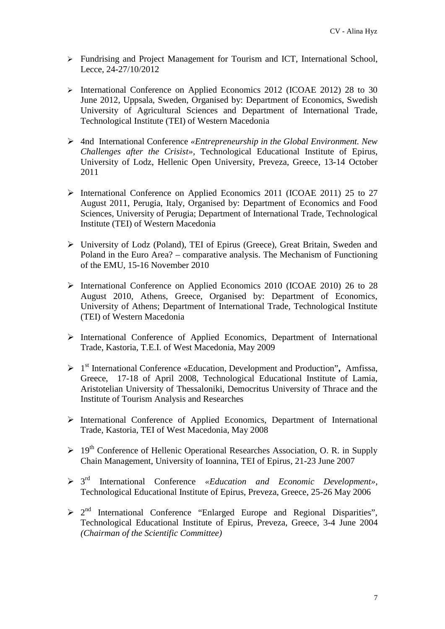- > Fundrising and Project Management for Tourism and ICT, International School, Lecce, 24-27/10/2012
- International Conference on Applied Economics 2012 (ICOAE 2012) 28 to 30 June 2012, Uppsala, Sweden, Organised by: Department of Economics, Swedish University of Agricultural Sciences and Department of International Trade, Technological Institute (TEI) of Western Macedonia
- 4nd International Conference *«Entrepreneurship in the Global Environment. New Challenges after the Crisist»,* Technological Educational Institute of Epirus, University of Lodz, Hellenic Open University, Preveza, Greece, 13-14 October 2011
- International Conference on Applied Economics 2011 (ICOAE 2011) 25 to 27 August 2011, Perugia, Italy, Organised by: Department of Economics and Food Sciences, University of Perugia; Department of International Trade, Technological Institute (TEI) of Western Macedonia
- University of Lodz (Poland), TEI of Epirus (Greece), Great Britain, Sweden and Poland in the Euro Area? – comparative analysis. The Mechanism of Functioning of the EMU, 15-16 November 2010
- International Conference on Applied Economics 2010 (ICOAE 2010) 26 to 28 August 2010, Athens, Greece, Organised by: Department of Economics, University of Athens; Department of International Trade, Technological Institute (TEI) of Western Macedonia
- International Conference of Applied Economics, Department of International Trade, Kastoria, T.E.I. of West Macedonia, May 2009
- 1 st International Conference «Education, Development and Production"**,** Amfissa, Greece, 17-18 of April 2008, Technological Educational Institute of Lamia, Aristotelian University of Thessaloniki, Democritus University of Thrace and the Institute of Tourism Analysis and Researches
- International Conference of Applied Economics, Department of International Trade, Kastoria, TEI of West Macedonia, May 2008
- $\geq 19^{th}$  Conference of Hellenic Operational Researches Association, O. R. in Supply Chain Management, University of Ioannina, TEI of Epirus, 21-23 June 2007
- 3 rd International Conference *«Education and Economic Development»,* Technological Educational Institute of Epirus, Preveza, Greece, 25-26 May 2006
- $\geq 2^{nd}$  International Conference "Enlarged Europe and Regional Disparities", Technological Educational Institute of Epirus, Preveza, Greece, 3-4 June 2004 *(Chairman of the Scientific Committee)*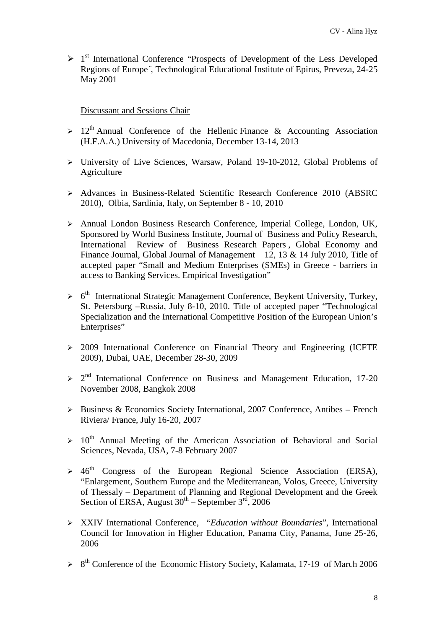> 1<sup>st</sup> International Conference "Prospects of Development of the Less Developed Regions of Europe*¨,* Technological Educational Institute of Epirus, Preveza, 24-25 May 2001

### Discussant and Sessions Chair

- $> 12<sup>th</sup>$  Annual Conference of the Hellenic Finance & Accounting Association (H.F.A.A.) University of Macedonia, December 13-14, 2013
- University of Live Sciences, Warsaw, Poland 19-10-2012, Global Problems of Agriculture
- Advances in Business-Related Scientific Research Conference 2010 (ABSRC 2010), Olbia, Sardinia, Italy, on September 8 - 10, 2010
- Annual London Business Research Conference, Imperial College, London, UK, Sponsored by World Business Institute, Journal of Business and Policy Research, International Review of Business Research Papers , Global Economy and Finance Journal, Global Journal of Management 12, 13 & 14 July 2010, Title of accepted paper "Small and Medium Enterprises (SMEs) in Greece - barriers in access to Banking Services. Empirical Investigation"
- > 6<sup>th</sup> International Strategic Management Conference, Beykent University, Turkey, St. Petersburg –Russia, July 8-10, 2010. Title of accepted paper "Technological Specialization and the International Competitive Position of the European Union's Enterprises"
- $\geq$  2009 International Conference on Financial Theory and Engineering (ICFTE) 2009), Dubai, UAE, December 28-30, 2009
- $\geq 2^{nd}$  International Conference on Business and Management Education, 17-20 November 2008, Bangkok 2008
- $\triangleright$  Business & Economics Society International, 2007 Conference, Antibes French Riviera/ France, July 16-20, 2007
- $> 10<sup>th</sup>$  Annual Meeting of the American Association of Behavioral and Social Sciences, Nevada, USA, 7-8 February 2007
- $\geq 46$ <sup>th</sup> Congress of the European Regional Science Association (ERSA), "Enlargement, Southern Europe and the Mediterranean, Volos, Greece, University of Thessaly – Department of Planning and Regional Development and the Greek Section of ERSA, August  $30^{th}$  – September  $3^{rd}$ , 2006
- XXIV International Conference, *"Education without Boundaries*", International Council for Innovation in Higher Education, Panama City, Panama, June 25-26, 2006
- > 8<sup>th</sup> Conference of the Economic History Society, Kalamata, 17-19 of March 2006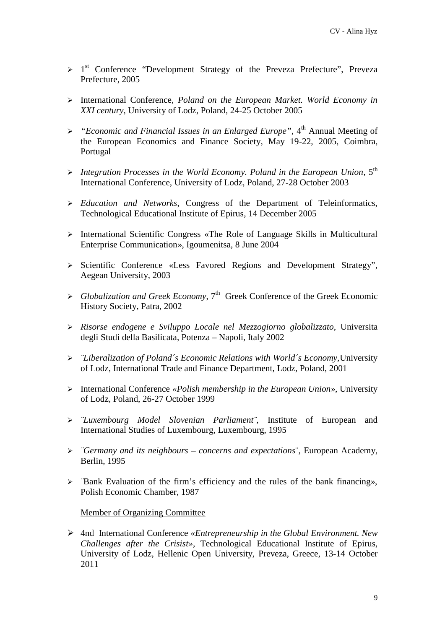- > 1<sup>st</sup> Conference "Development Strategy of the Preveza Prefecture", Preveza Prefecture, 2005
- International Conference, *Poland on the European Market. World Economy in XXI century*, University of Lodz, Poland, 24-25 October 2005
- *"Economic and Financial Issues in an Enlarged Europe",* 4 th Annual Meeting of the European Economics and Finance Society, May 19-22, 2005, Coimbra, Portugal
- *Integration Processes in the World Economy. Poland in the European Union*, 5th International Conference, University of Lodz, Poland, 27-28 October 2003
- *Education and Networks*, Congress of the Department of Teleinformatics, Technological Educational Institute of Epirus, 14 December 2005
- $\triangleright$  International Scientific Congress «The Role of Language Skills in Multicultural Enterprise Communication», Igoumenitsa, 8 June 2004
- > Scientific Conference «Less Favored Regions and Development Strategy", Aegean University, 2003
- *Globalization and Greek Economy*, 7th Greek Conference of the Greek Economic History Society, Patra, 2002
- *Risorse endogene e Sviluppo Locale nel Mezzogiorno globalizzato*, Universita degli Studi della Basilicata, Potenza – Napoli, Italy 2002
- *¨Liberalization of Poland´s Economic Relations with World´s Economy,*University of Lodz, International Trade and Finance Department, Lodz, Poland, 2001
- International Conference *«Polish membership in the European Union*», University of Lodz, Poland, 26-27 October 1999
- *¨Luxembourg Model Slovenian Parliament¨,* Institute of European and International Studies of Luxembourg, Luxembourg, 1995
- *¨Germany and its neighbours – concerns and expectations*¨, European Academy, Berlin, 1995
- *¨*Bank Evaluation of the firm's efficiency and the rules of the bank financing», Polish Economic Chamber, 1987

Member of Organizing Committee

 4nd International Conference *«Entrepreneurship in the Global Environment. New Challenges after the Crisist»,* Technological Educational Institute of Epirus, University of Lodz, Hellenic Open University, Preveza, Greece, 13-14 October 2011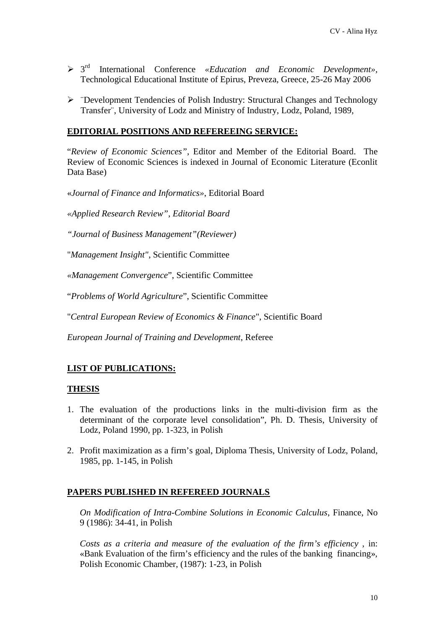- 3 rd International Conference *«Education and Economic Development»,* Technological Educational Institute of Epirus, Preveza, Greece, 25-26 May 2006
- $\triangleright$  "Development Tendencies of Polish Industry: Structural Changes and Technology Transfer¨, University of Lodz and Ministry of Industry, Lodz, Poland, 1989,

### **EDITORIAL POSITIONS AND REFEREEING SERVICE:**

"*Review of Economic Sciences"*, Editor and Member of the Editorial Board. The Review of Economic Sciences is indexed in Journal of Economic Literature (Econlit Data Base)

«*Journal of Finance and Informatics»*, Editorial Board

*«Applied Research Review", Editorial Board*

*"Journal of Business Management"(Reviewer)*

"*Management Insight"*, Scientific Committee

*«Management Convergence*", Scientific Committee

"*Problems of World Agriculture*", Scientific Committee

"*Central European Review of Economics & Finance*", Scientific Board

*European Journal of Training and Development*, Referee

## **LIST OF PUBLICATIONS:**

#### **THESIS**

- 1. The evaluation of the productions links in the multi-division firm as the determinant of the corporate level consolidation", Ph. D. Thesis, University of Lodz, Poland 1990, pp. 1-323, in Polish
- 2. Profit maximization as a firm's goal, Diploma Thesis, University of Lodz, Poland, 1985, pp. 1-145, in Polish

### **PAPERS PUBLISHED IN REFEREED JOURNALS**

*On Modification of Intra-Combine Solutions in Economic Calculus*, Finance, No 9 (1986): 34-41, in Polish

*Costs as a criteria and measure of the evaluation of the firm's efficiency*, in: «Bank Evaluation of the firm's efficiency and the rules of the banking financing», Polish Economic Chamber, (1987): 1-23, in Polish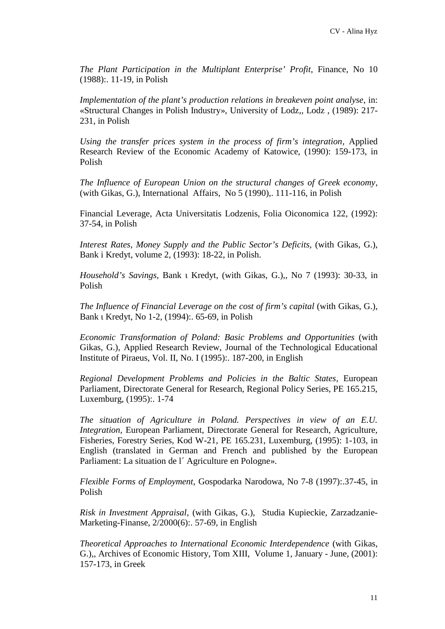*The Plant Participation in the Multiplant Enterprise' Profit*, Finance, No 10 (1988):. 11-19, in Polish

*Implementation of the plant's production relations in breakeven point analyse*, in: «Structural Changes in Polish Industry», University of Lodz,, Lodz , (1989): 217- 231, in Polish

*Using the transfer prices system in the process of firm's integration,* Applied Research Review of the Economic Academy of Katowice, (1990): 159-173, in Polish

*The Influence of European Union on the structural changes of Greek economy,* (with Gikas, G.), International Affairs, No 5 (1990),. 111-116, in Polish

Financial Leverage, Acta Universitatis Lodzenis, Folia Oiconomica 122, (1992): 37-54, in Polish

*Interest Rates, Money Supply and the Public Sector's Deficits,* (with Gikas, G.), Bank i Kredyt, volume 2, (1993): 18-22, in Polish.

*Household's Savings*, Bank Kredyt, (with Gikas, G.),, No 7 (1993): 30-33, in Polish

*The Influence of Financial Leverage on the cost of firm's capital* (with Gikas, G.), Bank redyt, No 1-2, (1994): 65-69, in Polish

*Economic Transformation of Poland: Basic Problems and Opportunities* (with Gikas, G.), Applied Research Review, Journal of the Technological Educational Institute of Piraeus, Vol. II, No. I (1995):. 187-200, in English

*Regional Development Problems and Policies in the Baltic States*, European Parliament, Directorate General for Research, Regional Policy Series, PE 165.215, Luxemburg, (1995):. 1-74

*The situation of Agriculture in Poland. Perspectives in view of an E.U. Integration,* European Parliament, Directorate General for Research, Agriculture, Fisheries, Forestry Series, Kod W-21, PE 165.231, Luxemburg, (1995): 1-103, in English (translated in German and French and published by the European Parliament: La situation de l'Agriculture en Pologne».

*Flexible Forms of Employment*, Gospodarka Narodowa, No 7-8 (1997):.37-45, in Polish

*Risk in Investment Appraisal*, (with Gikas, G.), Studia Kupieckie, Zarzadzanie- Marketing-Finanse, 2/2000(6):. 57-69, in English

*Theoretical Approaches to International Economic Interdependence* (with Gikas, G.), Archives of Economic History, Tom  $\cdot$  Volume 1, January - June, (2001): 157-173, in Greek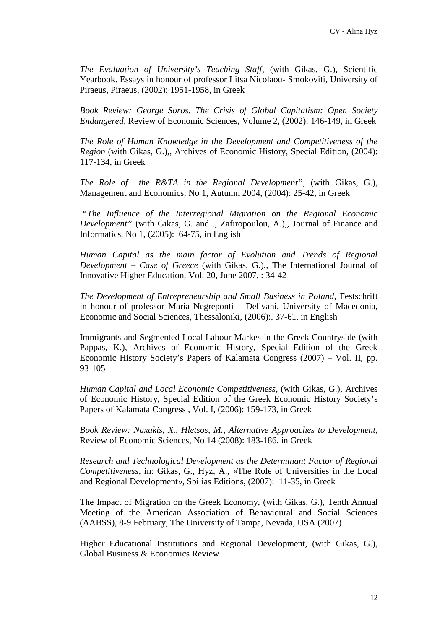*The Evaluation of University's Teaching Staff*, (with Gikas, G.), Scientific Yearbook. Essays in honour of professor Litsa Nicolaou- Smokoviti, University of Piraeus, Piraeus, (2002): 1951-1958, in Greek

*Book Review: George Soros, The Crisis of Global Capitalism: Open Society Endangered,* Review of Economic Sciences, Volume 2, (2002): 146-149, in Greek

*The Role of Human Knowledge in the Development and Competitiveness of the Region* (with Gikas, G.),, Archives of Economic History, Special Edition, (2004): 117-134, in Greek

*The Role of the R&TA in the Regional Development"*, (with Gikas, G.), Management and Economics, 1. Autumn 2004, (2004): 25-42, in Greek

*"The Influence of the Interregional Migration on the Regional Economic Development"* (with Gikas, G. and ., Zafiropoulou, A.),*,* Journal of Finance and Informatics, No 1, (2005): 64-75, in English

*Human Capital as the main factor of Evolution and Trends of Regional Development – Case of Greece* (with Gikas, G.),, The International Journal of Innovative Higher Education, Vol. 20, June 2007, : 34-42

*The Development of Entrepreneurship and Small Business in Poland,* Festschrift in honour of professor Maria Negreponti – Delivani, University of Macedonia, Economic and Social Sciences, Thessaloniki, (2006):. 37-61, in English

Immigrants and Segmented Local Labour Markes in the Greek Countryside (with Pappas, K.), Archives of Economic History, Special Edition of the Greek Economic History Society's Papers of Kalamata Congress (2007) – Vol., pp. 93-105

*Human Capital and Local Economic Competitiveness*, (with Gikas, G.), Archives of Economic History, Special Edition of the Greek Economic History Society's Papers of Kalamata Congress , Vol. , (2006): 159-173, in Greek

*Book Review: Naxakis, X., Hletsos, M., Alternative Approaches to Development,* Review of Economic Sciences, No 14 (2008): 183-186, in Greek

*Research and Technological Development as the Determinant Factor of Regional Competitiveness,* in: Gikas, G., Hyz, ., «The Role of Universities in the Local and Regional Development», Sbilias Editions, (2007): 11-35, in Greek

The Impact of Migration on the Greek Economy, (with Gikas, G.), Tenth Annual Meeting of the American Association of Behavioural and Social Sciences (AABSS), 8-9 February, The University of Tampa, Nevada, USA (2007)

Higher Educational Institutions and Regional Development, (with Gikas, G.), Global Business & Economics Review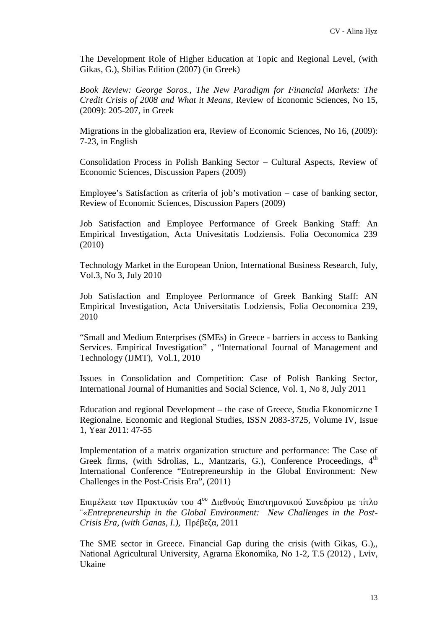The Development Role of Higher Education at Topic and Regional Level, (with Gikas, G.), Sbilias Edition (2007) (in Greek)

*Book Review: George Soros., The New Paradigm for Financial Markets: The Credit Crisis of 2008 and What it Means,* Review of Economic Sciences, No 15, (2009): 205-207, in Greek

Migrations in the globalization era, Review of Economic Sciences, No 16, (2009): 7-23, in English

Consolidation Process in Polish Banking Sector – Cultural Aspects, Review of Economic Sciences, Discussion Papers (2009)

Employee's Satisfaction as criteria of job's motivation – case of banking sector, Review of Economic Sciences, Discussion Papers (2009)

Job Satisfaction and Employee Performance of Greek Banking Staff: An Empirical Investigation, Acta Univesitatis Lodziensis. Folia Oeconomica 239 (2010)

Technology Market in the European Union, International Business Research, July, Vol.3, No 3, July 2010

Job Satisfaction and Employee Performance of Greek Banking Staff: AN Empirical Investigation, Acta Universitatis Lodziensis, Folia Oeconomica 239, 2010

"Small and Medium Enterprises (SMEs) in Greece - barriers in access to Banking Services. Empirical Investigation" , "International Journal of Management and Technology (IJMT), Vol.1, 2010

Issues in Consolidation and Competition: Case of Polish Banking Sector, International Journal of Humanities and Social Science, Vol. 1, No 8, July 2011

Education and regional Development – the case of Greece, Studia Ekonomiczne I Regionalne. Economic and Regional Studies, ISSN 2083-3725, Volume IV, Issue 1, Year 2011: 47-55

Implementation of a matrix organization structure and performance: The Case of Greek firms, (with Sdrolias, L., Mantzaris, G.), Conference Proceedings, 4<sup>th</sup> International Conference "Entrepreneurship in the Global Environment: New Challenges in the Post-Crisis Era", (2011)

 $\mu$  4 ου Διεθνούς Επιστημονικού Συνεδρίου με τίτλο ¨*«Entrepreneurship in the Global Environment: New Challenges in the Post- Crisis Era, (with Ganas, I.),* 2011

The SME sector in Greece. Financial Gap during the crisis (with Gikas, G.),, National Agricultural University, Agrarna Ekonomika, No 1-2, T.5 (2012) , Lviv, Ukaine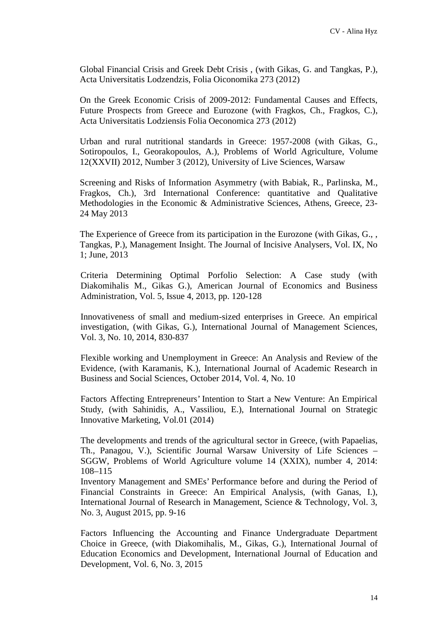Global Financial Crisis and Greek Debt Crisis , (with Gikas, G. and Tangkas, P.), Acta Universitatis Lodzendzis, Folia Oiconomika 273 (2012)

On the Greek Economic Crisis of 2009-2012: Fundamental Causes and Effects, Future Prospects from Greece and Eurozone (with Fragkos, Ch., Fragkos, C.), Acta Universitatis Lodziensis Folia Oeconomica 273 (2012)

Urban and rural nutritional standards in Greece: 1957-2008 (with Gikas, G., Sotiropoulos, I., Georakopoulos, A.), Problems of World Agriculture, Volume 12(XXVII) 2012, Number 3 (2012), University of Live Sciences, Warsaw

Screening and Risks of Information Asymmetry (with Babiak, R., Parlinska, M., Fragkos, Ch.), 3rd International Conference: quantitative and Qualitative Methodologies in the Economic & Administrative Sciences, Athens, Greece, 23- 24 May 2013

The Experience of Greece from its participation in the Eurozone (with Gikas, G., , Tangkas, P.), Management Insight. The Journal of Incisive Analysers, Vol. IX, No 1; June, 2013

Criteria Determining Optimal Porfolio Selection: A Case study (with Diakomihalis M., Gikas G.), American Journal of Economics and Business Administration, Vol. 5, Issue 4, 2013, pp. 120-128

Innovativeness of small and medium-sized enterprises in Greece. An empirical investigation, (with Gikas, G.), International Journal of Management Sciences, Vol. 3, No. 10, 2014, 830-837

Flexible working and Unemployment in Greece: An Analysis and Review of the Evidence, (with Karamanis, K.), International Journal of Academic Research in Business and Social Sciences, October 2014, Vol. 4, No. 10

Factors Affecting Entrepreneurs' Intention to Start a New Venture: An Empirical Study, (with Sahinidis, A., Vassiliou, E.), International Journal on Strategic Innovative Marketing, Vol.01 (2014)

The developments and trends of the agricultural sector in Greece, (with Papaelias, Th., Panagou, V.), Scientific Journal Warsaw University of Life Sciences – SGGW, Problems of World Agriculture volume 14 (XXIX), number 4, 2014: 108–115

Inventory Management and SMEs' Performance before and during the Period of Financial Constraints in Greece: An Empirical Analysis, (with Ganas, I.), International Journal of Research in Management, Science & Technology, Vol. 3, No. 3, August 2015, pp. 9-16

Factors Influencing the Accounting and Finance Undergraduate Department Choice in Greece, (with Diakomihalis, M., Gikas, G.), International Journal of Education Economics and Development, International Journal of Education and Development, Vol. 6, No. 3, 2015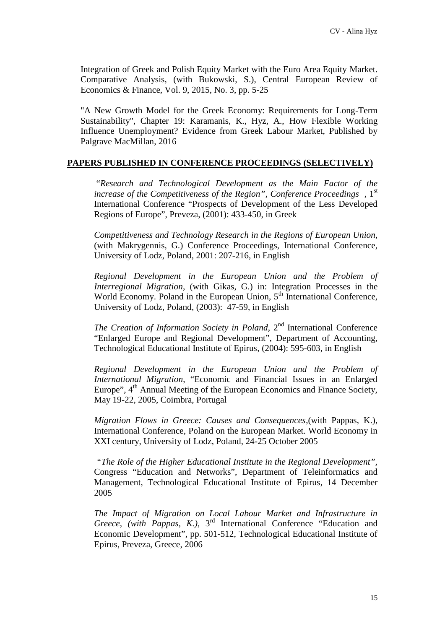Integration of Greek and Polish Equity Market with the Euro Area Equity Market. Comparative Analysis, (with Bukowski, S.), Central European Review of Economics & Finance, Vol. 9, 2015, No. 3, pp. 5-25

"A New Growth Model for the Greek Economy: Requirements for Long-Term Sustainability", Chapter 19: Karamanis, K., Hyz, A., How Flexible Working Influence Unemployment? Evidence from Greek Labour Market, Published by Palgrave MacMillan, 2016

### **PAPERS PUBLISHED IN CONFERENCE PROCEEDINGS (SELECTIVELY)**

"*Research and Technological Development as the Main Factor of the increase of the Competitiveness of the Region", Conference Proceedings* , 1st International Conference "Prospects of Development of the Less Developed Regions of Europe", Preveza, (2001): 433-450, in Greek

*Competitiveness and Technology Research in the Regions of European Union*, (with Makrygennis, G.) Conference Proceedings, International Conference, University of Lodz, Poland, 2001: 207-216, in English

*Regional Development in the European Union and the Problem of Interregional Migration*, (with Gikas, G.) in: Integration Processes in the World Economy. Poland in the European Union,  $5<sup>th</sup>$  International Conference, University of Lodz, Poland, (2003): 47-59, in English

*The Creation of Information Society in Poland*, 2nd International Conference "Enlarged Europe and Regional Development", Department of Accounting, Technological Educational Institute of Epirus, (2004): 595-603, in English

*Regional Development in the European Union and the Problem of International Migration*, "Economic and Financial Issues in an Enlarged Europe", 4<sup>th</sup> Annual Meeting of the European Economics and Finance Society, May 19-22, 2005, Coimbra, Portugal

*Migration Flows in Greece: Causes and Consequences*,(with Pappas, K.), International Conference, Poland on the European Market. World Economy in XXI century, University of Lodz, Poland, 24-25 October 2005

*"The Role of the Higher Educational Institute in the Regional Development",* Congress "Education and Networks", Department of Teleinformatics and Management, Technological Educational Institute of Epirus, 14 December 2005

*The Impact of Migration on Local Labour Market and Infrastructure in Greece*, *(with Pappas, K.),* 3 rd International Conference "Education and Economic Development", pp. 501-512, Technological Educational Institute of Epirus, Preveza, Greece, 2006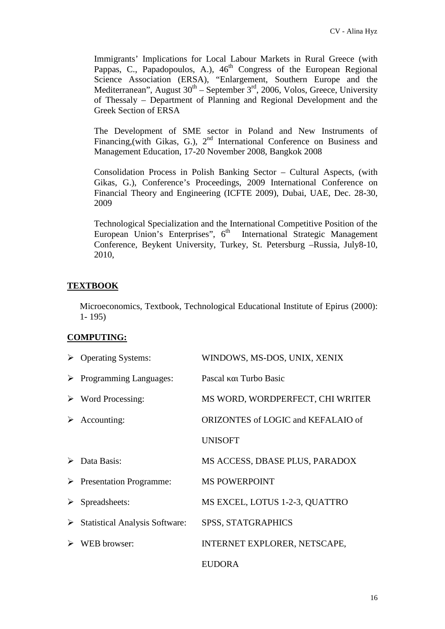Immigrants' Implications for Local Labour Markets in Rural Greece (with Pappas, C., Papadopoulos, A.), 46<sup>th</sup> Congress of the European Regional Science Association (ERSA), "Enlargement, Southern Europe and the Mediterranean", August  $30<sup>th</sup>$  – September  $3<sup>rd</sup>$ , 2006, Volos, Greece, University of Thessaly – Department of Planning and Regional Development and the Greek Section of ERSA

The Development of SME sector in Poland and New Instruments of Financing, (with Gikas, G.), 2<sup>nd</sup> International Conference on Business and Management Education, 17-20 November 2008, Bangkok 2008

Consolidation Process in Polish Banking Sector – Cultural Aspects, (with Gikas, G.), Conference's Proceedings, 2009 International Conference on Financial Theory and Engineering (ICFTE 2009), Dubai, UAE, Dec. 28-30, 2009

Technological Specialization and the International Competitive Position of the European Union's Enterprises", 6<sup>th</sup> International Strategic Management Conference, Beykent University, Turkey, St. Petersburg –Russia, July8-10, 2010,

## **TEXTBOOK**

Microeconomics, Textbook, Technological Educational Institute of Epirus (2000): 1- 195)

## **COMPUTING:**

|   | $\triangleright$ Operating Systems:             | WINDOWS, MS-DOS, UNIX, XENIX       |
|---|-------------------------------------------------|------------------------------------|
|   | $\triangleright$ Programming Languages:         | Turbo Basic<br>Pascal              |
|   | $\triangleright$ Word Processing:               | MS WORD, WORDPERFECT, CHI WRITER   |
| ➤ | Accounting:                                     | ORIZONTES of LOGIC and KEFALAIO of |
|   |                                                 | <b>UNISOFT</b>                     |
|   | $\triangleright$ Data Basis:                    | MS ACCESS, DBASE PLUS, PARADOX     |
|   | $\triangleright$ Presentation Programme:        | <b>MS POWERPOINT</b>               |
|   | $\triangleright$ Spreadsheets:                  | MS E CEL, LOTUS 1-2-3, QUATTRO     |
|   | $\triangleright$ Statistical Analysis Software: | <b>SPSS, STATGRAPHICS</b>          |
|   | WEB browser:                                    | INTERNET EXPLORER, NETSCAPE,       |
|   |                                                 | <b>EUDORA</b>                      |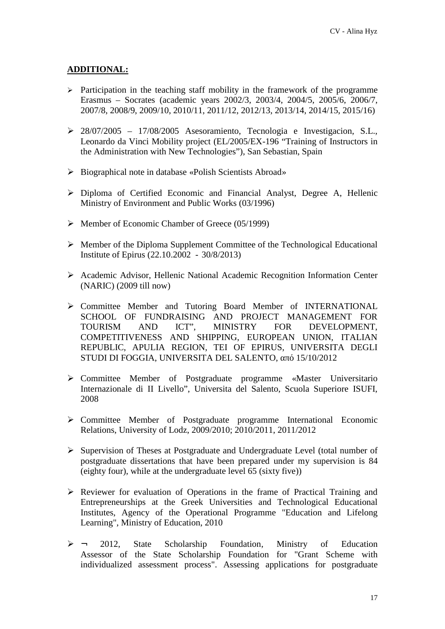### **ADDITIONAL:**

- $\triangleright$  Participation in the teaching staff mobility in the framework of the programme Erasmus – Socrates (academic years 2002/3, 2003/4, 2004/5, 2005/6, 2006/7, 2007/8, 2008/9, 2009/10, 2010/11, 2011/12, 2012/13, 2013/14, 2014/15, 2015/16)
- $\geq 28/07/2005 17/08/2005$  Asesoramiento, Tecnologia e Investigacion, S.L., Leonardo da Vinci Mobility project (EL/2005/EX-196 "Training of Instructors in the Administration with New Technologies"), San Sebastian, Spain
- Biographical note in database «Polish Scientists Abroad»
- Diploma of Certified Economic and Financial Analyst, Degree A, Hellenic Ministry of Environment and Public Works (03/1996)
- $\triangleright$  Member of Economic Chamber of Greece (05/1999)
- $\triangleright$  Member of the Diploma Supplement Committee of the Technological Educational Institute of Epirus (22.10.2002 - 30/8/2013)
- Academic Advisor, Hellenic National Academic Recognition Information Center (NARIC) (2009 till now)
- Committee Member and Tutoring Board Member of INTERNATIONAL SCHOOL OF FUNDRAISING AND PROJECT MANAGEMENT FOR TOURISM AND ICT", MINISTRY FOR DEVELOPMENT, TOURISM AND ICT", MINISTRY FOR DEVELOPMENT, COMPETITIVENESS AND SHIPPING, EUROPEAN UNION, ITALIAN REPUBLIC, APULIA REGION, TEI OF EPIRUS, UNIVERSITA DEGLI STUDI DI FOGGIA, UNIVERSITA DEL SALENTO, 15/10/2012
- Committee Member of Postgraduate programme «Master Universitario Internazionale di II Livello", Universita del Salento, Scuola Superiore ISUFI, 2008
- Committee Member of Postgraduate programme International Economic Relations, University of Lodz, 2009/2010; 2010/2011, 2011/2012
- $\triangleright$  Supervision of Theses at Postgraduate and Undergraduate Level (total number of postgraduate dissertations that have been prepared under my supervision is 84 (eighty four), while at the undergraduate level 65 (sixty five))
- $\triangleright$  Reviewer for evaluation of Operations in the frame of Practical Training and Entrepreneurships at the Greek Universities and Technological Educational Institutes, Agency of the Operational Programme "Education and Lifelong Learning", Ministry of Education, 2010
- $\triangleright$   $\rightarrow$  2012, State Scholarship Foundation, Ministry of Education Assessor of the State Scholarship Foundation for "Grant Scheme with individualized assessment process". Assessing applications for postgraduate